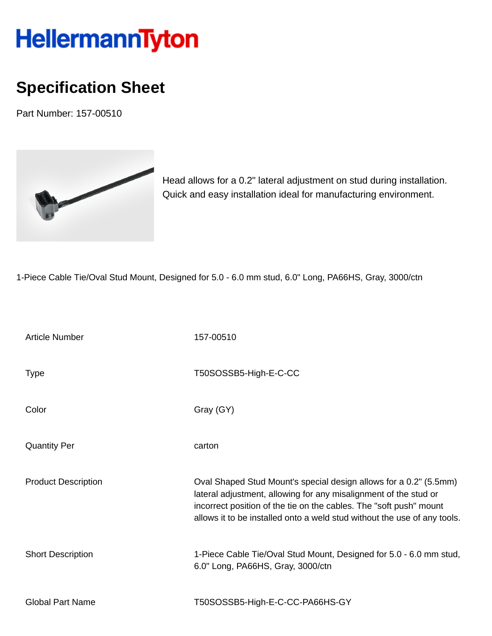## **HellermannTyton**

## **Specification Sheet**

Part Number: 157-00510



Head allows for a 0.2" lateral adjustment on stud during installation. Quick and easy installation ideal for manufacturing environment.

1-Piece Cable Tie/Oval Stud Mount, Designed for 5.0 - 6.0 mm stud, 6.0" Long, PA66HS, Gray, 3000/ctn

| <b>Article Number</b>      | 157-00510                                                                                                                                                                                                                                                                               |
|----------------------------|-----------------------------------------------------------------------------------------------------------------------------------------------------------------------------------------------------------------------------------------------------------------------------------------|
| <b>Type</b>                | T50SOSSB5-High-E-C-CC                                                                                                                                                                                                                                                                   |
| Color                      | Gray (GY)                                                                                                                                                                                                                                                                               |
| <b>Quantity Per</b>        | carton                                                                                                                                                                                                                                                                                  |
| <b>Product Description</b> | Oval Shaped Stud Mount's special design allows for a 0.2" (5.5mm)<br>lateral adjustment, allowing for any misalignment of the stud or<br>incorrect position of the tie on the cables. The "soft push" mount<br>allows it to be installed onto a weld stud without the use of any tools. |
| <b>Short Description</b>   | 1-Piece Cable Tie/Oval Stud Mount, Designed for 5.0 - 6.0 mm stud,<br>6.0" Long, PA66HS, Gray, 3000/ctn                                                                                                                                                                                 |
| <b>Global Part Name</b>    | T50SOSSB5-High-E-C-CC-PA66HS-GY                                                                                                                                                                                                                                                         |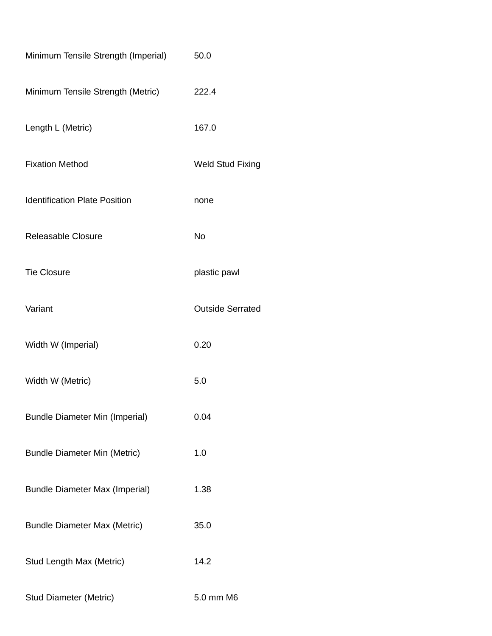| Minimum Tensile Strength (Imperial)   | 50.0                    |  |
|---------------------------------------|-------------------------|--|
| Minimum Tensile Strength (Metric)     | 222.4                   |  |
| Length L (Metric)                     | 167.0                   |  |
| <b>Fixation Method</b>                | <b>Weld Stud Fixing</b> |  |
| <b>Identification Plate Position</b>  | none                    |  |
| <b>Releasable Closure</b>             | No                      |  |
| <b>Tie Closure</b>                    | plastic pawl            |  |
| Variant                               | <b>Outside Serrated</b> |  |
| Width W (Imperial)                    | 0.20                    |  |
| Width W (Metric)                      | 5.0                     |  |
| <b>Bundle Diameter Min (Imperial)</b> | 0.04                    |  |
| <b>Bundle Diameter Min (Metric)</b>   | 1.0                     |  |
| <b>Bundle Diameter Max (Imperial)</b> | 1.38                    |  |
| <b>Bundle Diameter Max (Metric)</b>   | 35.0                    |  |
| Stud Length Max (Metric)              | 14.2                    |  |
| <b>Stud Diameter (Metric)</b>         | 5.0 mm M6               |  |